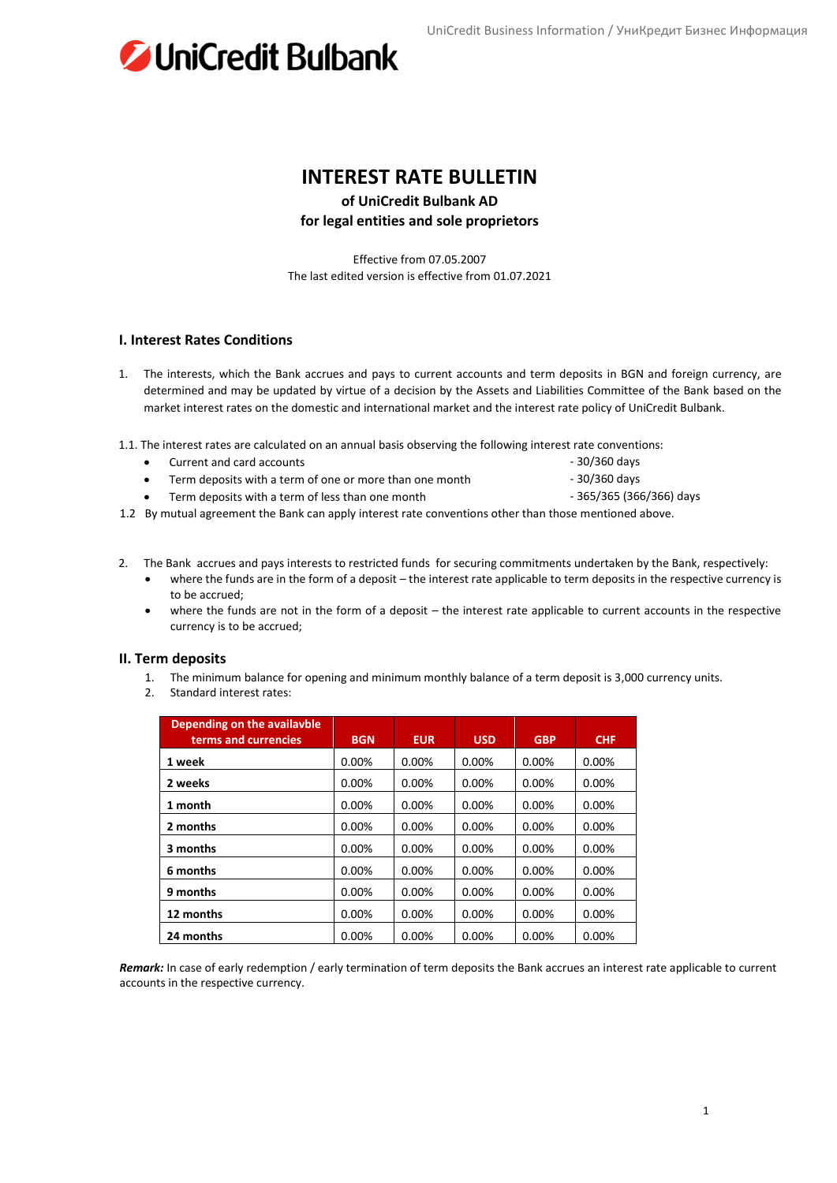UniCredit Business Information / УниКредит Бизнес Информация



## **INTEREST RATE BULLETIN**

**of UniCredit Bulbank AD**

### **for legal entities and sole proprietors**

Effective from 07.05.2007 The last edited version is effective from 01.07.2021

#### **I. Interest Rates Conditions**

- 1. The interests, which the Bank accrues and pays to current accounts and term deposits in BGN and foreign currency, are determined and may be updated by virtue of a decision by the Assets and Liabilities Committee of the Bank based on the market interest rates on the domestic and international market and the interest rate policy of UniCredit Bulbank.
- 1.1. The interest rates are calculated on an annual basis observing the following interest rate conventions:
	- Current and card accounts  **30/360 days**
	- Term deposits with a term of one or more than one month 30/360 days
	- Term deposits with a term of less than one month  $-$  365/365 (366/366) days
- 
- 1.2 By mutual agreement the Bank can apply interest rate conventions other than those mentioned above.
- 2. The Bank accrues and pays interests to restricted funds for securing commitments undertaken by the Bank, respectively:
	- where the funds are in the form of a deposit the interest rate applicable to term deposits in the respective currency is to be accrued;
	- where the funds are not in the form of a deposit the interest rate applicable to current accounts in the respective currency is to be accrued;

#### **II. Term deposits**

- 1. The minimum balance for opening and minimum monthly balance of a term deposit is 3,000 currency units.
- 2. Standard interest rates:

| Depending on the availayble<br>terms and currencies | <b>BGN</b> | <b>EUR</b> | <b>USD</b> | <b>GBP</b> | <b>CHF</b> |
|-----------------------------------------------------|------------|------------|------------|------------|------------|
| 1 week                                              | 0.00%      | 0.00%      | 0.00%      | 0.00%      | 0.00%      |
| 2 weeks                                             | $0.00\%$   | 0.00%      | $0.00\%$   | $0.00\%$   | 0.00%      |
| 1 month                                             | 0.00%      | 0.00%      | 0.00%      | 0.00%      | 0.00%      |
| 2 months                                            | 0.00%      | 0.00%      | 0.00%      | 0.00%      | 0.00%      |
| 3 months                                            | $0.00\%$   | 0.00%      | $0.00\%$   | $0.00\%$   | $0.00\%$   |
| 6 months                                            | $0.00\%$   | $0.00\%$   | $0.00\%$   | 0.00%      | 0.00%      |
| 9 months                                            | $0.00\%$   | $0.00\%$   | $0.00\%$   | 0.00%      | 0.00%      |
| 12 months                                           | $0.00\%$   | $0.00\%$   | $0.00\%$   | 0.00%      | $0.00\%$   |
| 24 months                                           | 0.00%      | 0.00%      | 0.00%      | 0.00%      | 0.00%      |

*Remark:* In case of early redemption / early termination of term deposits the Bank accrues an interest rate applicable to current accounts in the respective currency.